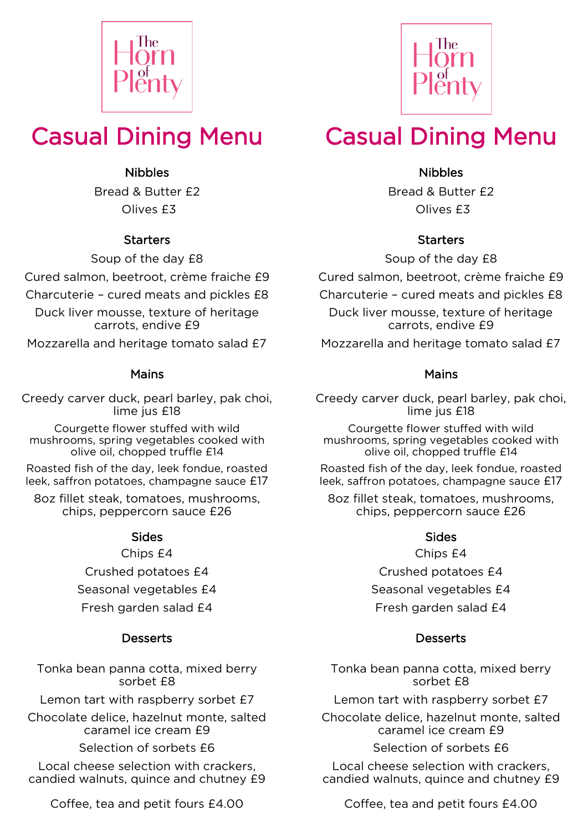



# Casual Dining Menu

## Nibbles

Bread & Butter £2 Olives £3

### **Starters**

Soup of the day £8

Cured salmon, beetroot, crème fraiche £9

Charcuterie – cured meats and pickles £8

Duck liver mousse, texture of heritage carrots, endive £9

Mozzarella and heritage tomato salad £7

#### Mains

Creedy carver duck, pearl barley, pak choi, lime jus £18

Courgette flower stuffed with wild mushrooms, spring vegetables cooked with olive oil, chopped truffle £14

Roasted fish of the day, leek fondue, roasted leek, saffron potatoes, champagne sauce £17

8oz fillet steak, tomatoes, mushrooms, chips, peppercorn sauce £26

#### Sides

Chips £4 Crushed potatoes £4 Seasonal vegetables  $f4$ Fresh garden salad £4

## **Desserts**

Tonka bean panna cotta, mixed berry sorbet £8

Lemon tart with raspberry sorbet £7

Chocolate delice, hazelnut monte, salted caramel ice cream £9

Selection of sorbets  $f6$ 

Local cheese selection with crackers, candied walnuts, quince and chutney £9

Coffee, tea and petit fours £4.00

# Casual Dining Menu

## Nibbles

Bread & Butter £2 Olives £3

#### **Starters**

Soup of the day £8

Cured salmon, beetroot, crème fraiche £9

Charcuterie – cured meats and pickles £8

Duck liver mousse, texture of heritage carrots, endive £9

Mozzarella and heritage tomato salad £7

### Mains

Creedy carver duck, pearl barley, pak choi, lime jus £18

Courgette flower stuffed with wild mushrooms, spring vegetables cooked with olive oil, chopped truffle £14

Roasted fish of the day, leek fondue, roasted leek, saffron potatoes, champagne sauce £17

8oz fillet steak, tomatoes, mushrooms, chips, peppercorn sauce £26

#### Sides

Chips £4 Crushed potatoes £4 Seasonal vegetables  $f4$ Fresh garden salad £4

## **Desserts**

Tonka bean panna cotta, mixed berry sorbet £8

Lemon tart with raspberry sorbet £7

Chocolate delice, hazelnut monte, salted caramel ice cream £9

Selection of sorbets  $f6$ 

Local cheese selection with crackers, candied walnuts, quince and chutney £9

Coffee, tea and petit fours £4.00